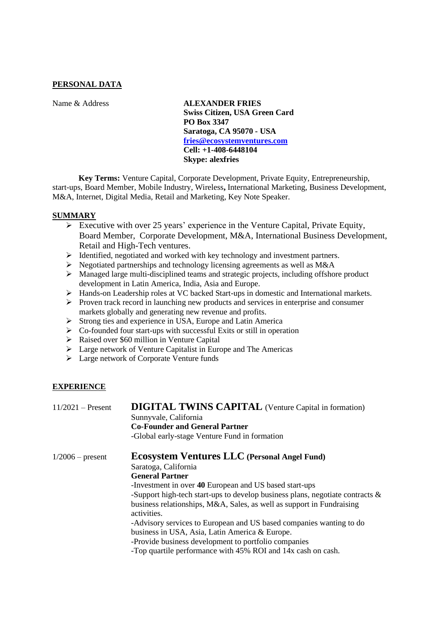### **PERSONAL DATA**

Name & Address **ALEXANDER FRIES Swiss Citizen, USA Green Card PO Box 3347 Saratoga, CA 95070 - USA [fries@ecosystemventures.com](mailto:fries@ecosystemventures.com) Cell: +1-408-6448104 Skype: alexfries**

**Key Terms:** Venture Capital, Corporate Development, Private Equity, Entrepreneurship, start-ups, Board Member, Mobile Industry, Wireless**,** International Marketing, Business Development, M&A, Internet, Digital Media, Retail and Marketing, Key Note Speaker.

#### **SUMMARY**

- ➢ Executive with over 25 years' experience in the Venture Capital, Private Equity, Board Member, Corporate Development, M&A, International Business Development, Retail and High-Tech ventures.
- ➢ Identified, negotiated and worked with key technology and investment partners.
- ➢ Negotiated partnerships and technology licensing agreements as well as M&A
- ➢ Managed large multi-disciplined teams and strategic projects, including offshore product development in Latin America, India, Asia and Europe.
- ➢ Hands-on Leadership roles at VC backed Start-ups in domestic and International markets.
- ➢ Proven track record in launching new products and services in enterprise and consumer markets globally and generating new revenue and profits.
- ➢ Strong ties and experience in USA, Europe and Latin America
- ➢ Co-founded four start-ups with successful Exits or still in operation
- ➢ Raised over \$60 million in Venture Capital
- ➢ Large network of Venture Capitalist in Europe and The Americas
- ➢ Large network of Corporate Venture funds

## **EXPERIENCE**

| $11/2021$ – Present | <b>DIGITAL TWINS CAPITAL</b> (Venture Capital in formation)<br>Sunnyvale, California<br><b>Co-Founder and General Partner</b><br>-Global early-stage Venture Fund in formation                                                                                                                                                                                                                                                                                                                                               |
|---------------------|------------------------------------------------------------------------------------------------------------------------------------------------------------------------------------------------------------------------------------------------------------------------------------------------------------------------------------------------------------------------------------------------------------------------------------------------------------------------------------------------------------------------------|
| $1/2006$ – present  | <b>Ecosystem Ventures LLC</b> (Personal Angel Fund)<br>Saratoga, California<br><b>General Partner</b><br>-Investment in over 40 European and US based start-ups<br>-Support high-tech start-ups to develop business plans, negotiate contracts $\&$<br>business relationships, M&A, Sales, as well as support in Fundraising<br>activities.<br>-Advisory services to European and US based companies wanting to do<br>business in USA, Asia, Latin America & Europe.<br>-Provide business development to portfolio companies |
|                     | -Top quartile performance with 45% ROI and 14x cash on cash.                                                                                                                                                                                                                                                                                                                                                                                                                                                                 |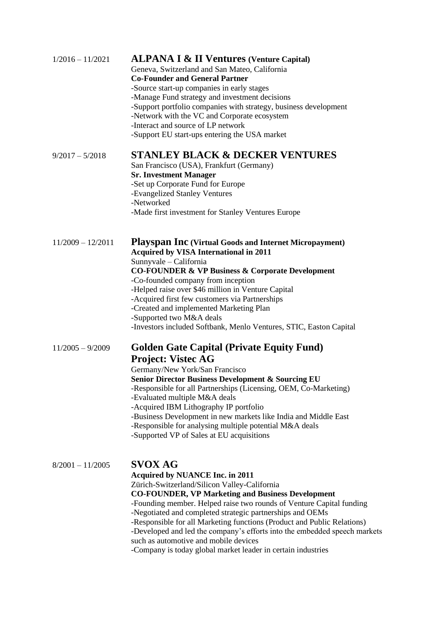| $1/2016 - 11/2021$  | <b>ALPANA I &amp; II Ventures (Venture Capital)</b><br>Geneva, Switzerland and San Mateo, California<br><b>Co-Founder and General Partner</b><br>-Source start-up companies in early stages<br>-Manage Fund strategy and investment decisions<br>-Support portfolio companies with strategy, business development<br>-Network with the VC and Corporate ecosystem<br>-Interact and source of LP network<br>-Support EU start-ups entering the USA market                                                                                                                   |
|---------------------|----------------------------------------------------------------------------------------------------------------------------------------------------------------------------------------------------------------------------------------------------------------------------------------------------------------------------------------------------------------------------------------------------------------------------------------------------------------------------------------------------------------------------------------------------------------------------|
| $9/2017 - 5/2018$   | <b>STANLEY BLACK &amp; DECKER VENTURES</b><br>San Francisco (USA), Frankfurt (Germany)<br><b>Sr. Investment Manager</b><br>-Set up Corporate Fund for Europe<br>-Evangelized Stanley Ventures<br>-Networked<br>-Made first investment for Stanley Ventures Europe                                                                                                                                                                                                                                                                                                          |
| $11/2009 - 12/2011$ | <b>Playspan Inc</b> (Virtual Goods and Internet Micropayment)<br><b>Acquired by VISA International in 2011</b><br>Sunnyvale - California<br><b>CO-FOUNDER &amp; VP Business &amp; Corporate Development</b><br>-Co-founded company from inception<br>-Helped raise over \$46 million in Venture Capital<br>-Acquired first few customers via Partnerships<br>-Created and implemented Marketing Plan<br>-Supported two M&A deals<br>-Investors included Softbank, Menlo Ventures, STIC, Easton Capital                                                                     |
| $11/2005 - 9/2009$  | <b>Golden Gate Capital (Private Equity Fund)</b><br><b>Project: Vistec AG</b><br>Germany/New York/San Francisco<br><b>Senior Director Business Development &amp; Sourcing EU</b><br>-Responsible for all Partnerships (Licensing, OEM, Co-Marketing)<br>-Evaluated multiple M&A deals<br>-Acquired IBM Lithography IP portfolio<br>-Business Development in new markets like India and Middle East<br>-Responsible for analysing multiple potential M&A deals<br>-Supported VP of Sales at EU acquisitions                                                                 |
| $8/2001 - 11/2005$  | <b>SVOX AG</b><br><b>Acquired by NUANCE Inc. in 2011</b><br>Zürich-Switzerland/Silicon Valley-California<br><b>CO-FOUNDER, VP Marketing and Business Development</b><br>-Founding member. Helped raise two rounds of Venture Capital funding<br>-Negotiated and completed strategic partnerships and OEMs<br>-Responsible for all Marketing functions (Product and Public Relations)<br>-Developed and led the company's efforts into the embedded speech markets<br>such as automotive and mobile devices<br>-Company is today global market leader in certain industries |